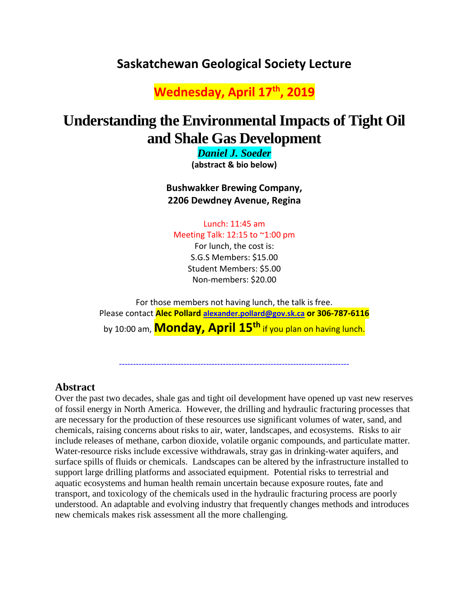## **Saskatchewan Geological Society Lecture**

**Wednesday, April 17th, 2019**

## **Understanding the Environmental Impacts of Tight Oil and Shale Gas Development**

*Daniel J. Soeder* **(abstract & bio below)** 

**Bushwakker Brewing Company, 2206 Dewdney Avenue, Regina**

Lunch: 11:45 am

Meeting Talk: 12:15 to ~1:00 pm

For lunch, the cost is: S.G.S Members: \$15.00 Student Members: \$5.00 Non-members: \$20.00

For those members not having lunch, the talk is free. Please contact **Alec Pollard [alexander.pollard@gov.sk.ca](mailto:alexander.pollard@gov.sk.ca) or 306-787-6116** by 10:00 am, **Monday, April 15th** if you plan on having lunch.

----------------------------------------------------------------------------------

## **Abstract**

Over the past two decades, shale gas and tight oil development have opened up vast new reserves of fossil energy in North America. However, the drilling and hydraulic fracturing processes that are necessary for the production of these resources use significant volumes of water, sand, and chemicals, raising concerns about risks to air, water, landscapes, and ecosystems. Risks to air include releases of methane, carbon dioxide, volatile organic compounds, and particulate matter. Water-resource risks include excessive withdrawals, stray gas in drinking-water aquifers, and surface spills of fluids or chemicals. Landscapes can be altered by the infrastructure installed to support large drilling platforms and associated equipment. Potential risks to terrestrial and aquatic ecosystems and human health remain uncertain because exposure routes, fate and transport, and toxicology of the chemicals used in the hydraulic fracturing process are poorly understood. An adaptable and evolving industry that frequently changes methods and introduces new chemicals makes risk assessment all the more challenging.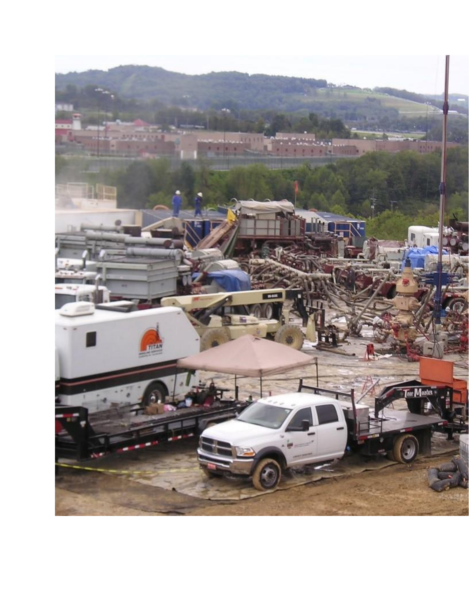